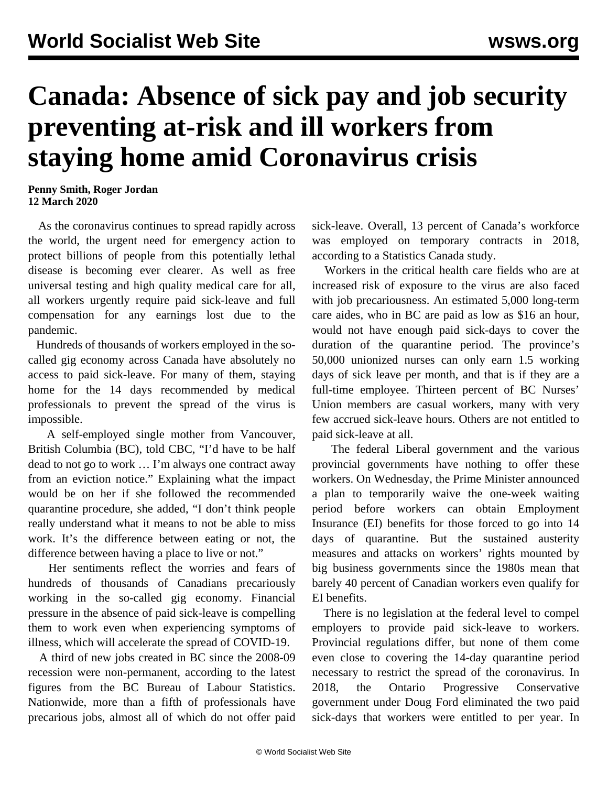## **Canada: Absence of sick pay and job security preventing at-risk and ill workers from staying home amid Coronavirus crisis**

**Penny Smith, Roger Jordan 12 March 2020**

 As the coronavirus continues to spread rapidly across the world, the urgent need for emergency action to protect billions of people from this potentially lethal disease is becoming ever clearer. As well as free universal testing and high quality medical care for all, all workers urgently require paid sick-leave and full compensation for any earnings lost due to the pandemic.

 Hundreds of thousands of workers employed in the socalled gig economy across Canada have absolutely no access to paid sick-leave. For many of them, staying home for the 14 days recommended by medical professionals to prevent the spread of the virus is impossible.

 A self-employed single mother from Vancouver, British Columbia (BC), told CBC, "I'd have to be half dead to not go to work … I'm always one contract away from an eviction notice." Explaining what the impact would be on her if she followed the recommended quarantine procedure, she added, "I don't think people really understand what it means to not be able to miss work. It's the difference between eating or not, the difference between having a place to live or not."

 Her sentiments reflect the worries and fears of hundreds of thousands of Canadians precariously working in the so-called gig economy. Financial pressure in the absence of paid sick-leave is compelling them to work even when experiencing symptoms of illness, which will accelerate the spread of COVID-19.

 A third of new jobs created in BC since the 2008-09 recession were non-permanent, according to the latest figures from the BC Bureau of Labour Statistics. Nationwide, more than a fifth of professionals have precarious jobs, almost all of which do not offer paid sick-leave. Overall, 13 percent of Canada's workforce was employed on temporary contracts in 2018, according to a Statistics Canada study.

 Workers in the critical health care fields who are at increased risk of exposure to the virus are also faced with job precariousness. An estimated 5,000 long-term care aides, who in BC are paid as low as \$16 an hour, would not have enough paid sick-days to cover the duration of the quarantine period. The province's 50,000 unionized nurses can only earn 1.5 working days of sick leave per month, and that is if they are a full-time employee. Thirteen percent of BC Nurses' Union members are casual workers, many with very few accrued sick-leave hours. Others are not entitled to paid sick-leave at all.

 The federal Liberal government and the various provincial governments have nothing to offer these workers. On Wednesday, the Prime Minister announced a plan to temporarily waive the one-week waiting period before workers can obtain Employment Insurance (EI) benefits for those forced to go into 14 days of quarantine. But the sustained austerity measures and attacks on workers' rights mounted by big business governments since the 1980s mean that barely 40 percent of Canadian workers even qualify for EI benefits.

 There is no legislation at the federal level to compel employers to provide paid sick-leave to workers. Provincial regulations differ, but none of them come even close to covering the 14-day quarantine period necessary to restrict the spread of the coronavirus. In 2018, the Ontario Progressive Conservative government under Doug Ford eliminated the two paid sick-days that workers were entitled to per year. In